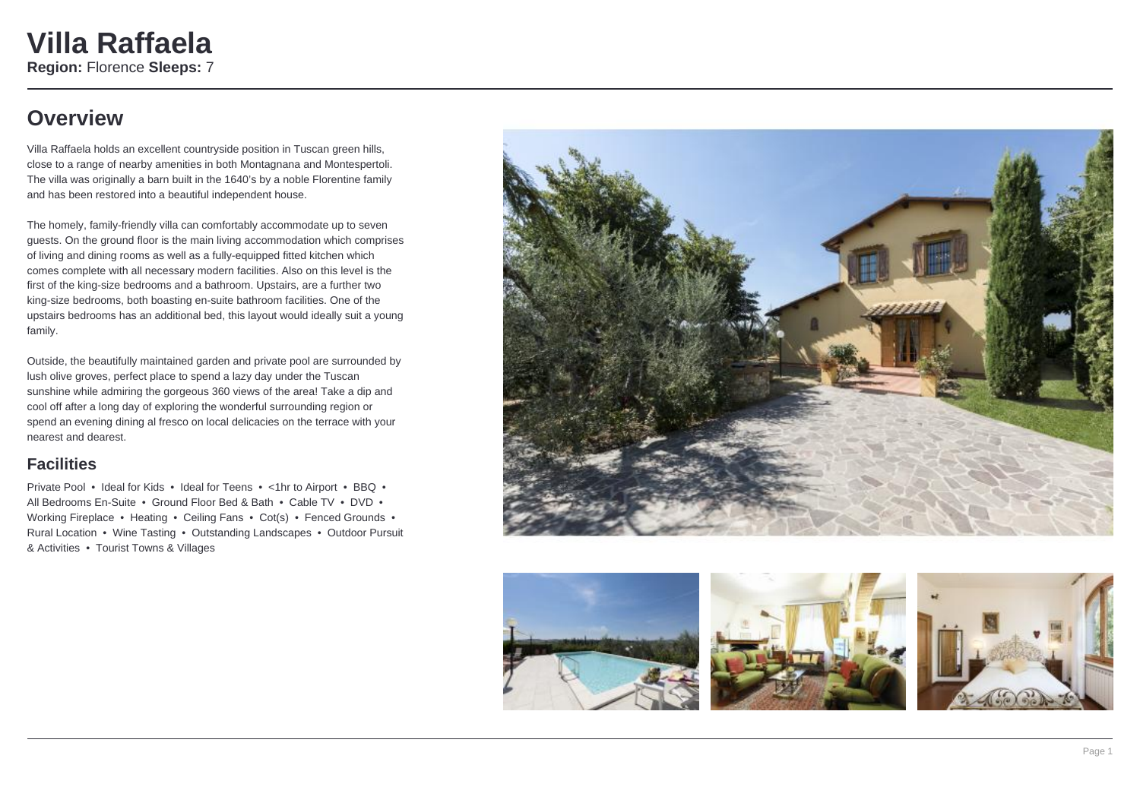### **Overview**

Villa Raffaela holds an excellent countryside position in Tuscan green hills, close to a range of nearby amenities in both Montagnana and Montespertoli. The villa was originally a barn built in the 1640's by a noble Florentine family and has been restored into a beautiful independent house.

The homely, family-friendly villa can comfortably accommodate up to seven guests. On the ground floor is the main living accommodation which comprises of living and dining rooms as well as a fully-equipped fitted kitchen which comes complete with all necessary modern facilities. Also on this level is the first of the king-size bedrooms and a bathroom. Upstairs, are a further two king-size bedrooms, both boasting en-suite bathroom facilities. One of the upstairs bedrooms has an additional bed, this layout would ideally suit a young family.

Outside, the beautifully maintained garden and private pool are surrounded by lush olive groves, perfect place to spend a lazy day under the Tuscan sunshine while admiring the gorgeous 360 views of the area! Take a dip and cool off after a long day of exploring the wonderful surrounding region or spend an evening dining al fresco on local delicacies on the terrace with your nearest and dearest.

### **Facilities**

Private Pool • Ideal for Kids • Ideal for Teens • <1hr to Airport • BBQ • All Bedrooms En-Suite • Ground Floor Bed & Bath • Cable TV • DVD • Working Fireplace • Heating • Ceiling Fans • Cot(s) • Fenced Grounds • Rural Location • Wine Tasting • Outstanding Landscapes • Outdoor Pursuit & Activities • Tourist Towns & Villages



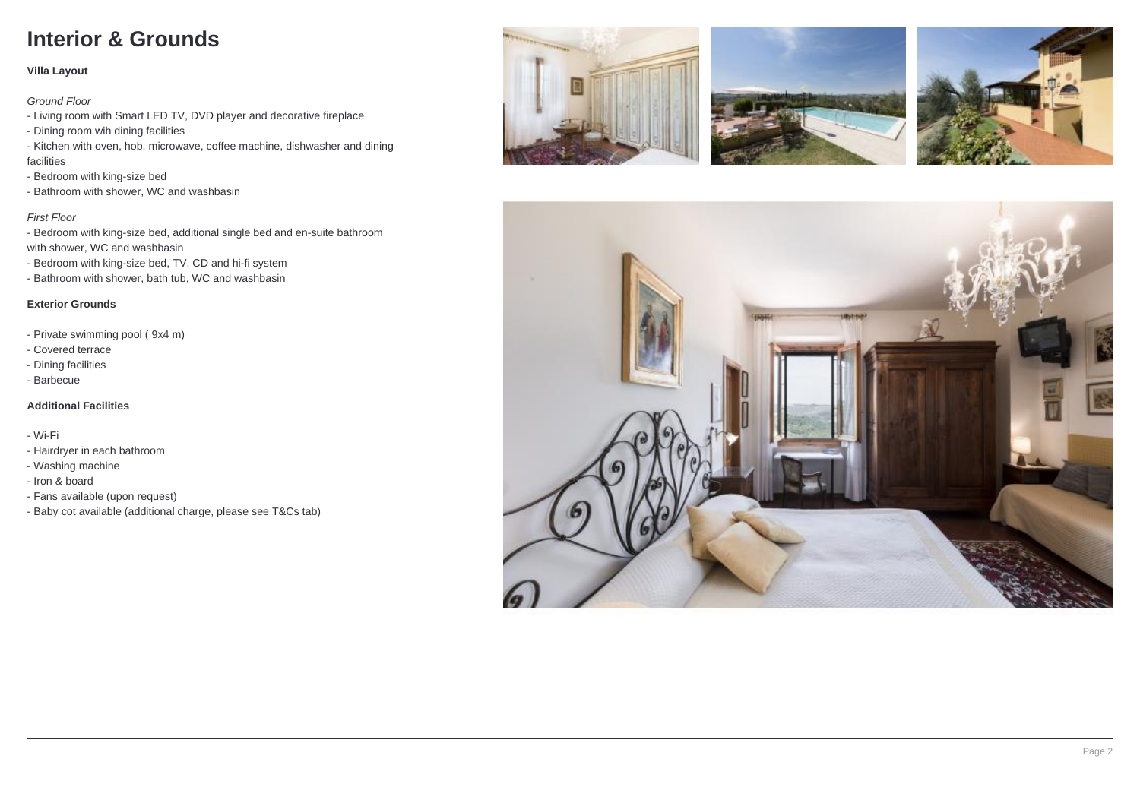## **Interior & Grounds**

#### **Villa Layout**

Ground Floor

- Living room with Smart LED TV, DVD player and decorative fireplace
- Dining room wih dining facilities
- Kitchen with oven, hob, microwave, coffee machine, dishwasher and dining facilities
- Bedroom with king-size bed
- Bathroom with shower, WC and washbasin

### First Floor

- Bedroom with king-size bed, additional single bed and en-suite bathroom with shower, WC and washbasin

- Bedroom with king-size bed, TV, CD and hi-fi system
- Bathroom with shower, bath tub, WC and washbasin

### **Exterior Grounds**

- Private swimming pool ( 9x4 m)
- Covered terrace
- Dining facilities
- Barbecue

### **Additional Facilities**

- Wi-Fi

- Hairdryer in each bathroom
- Washing machine
- Iron & board
- Fans available (upon request)
- Baby cot available (additional charge, please see T&Cs tab)







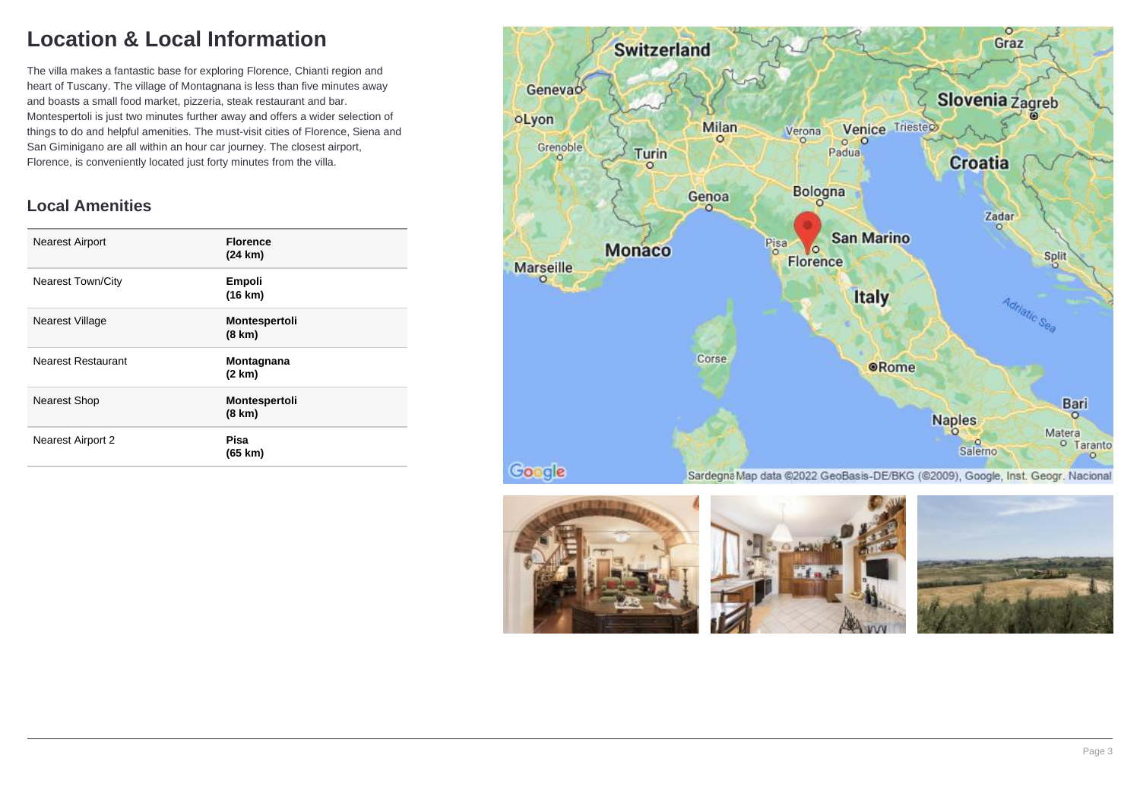## **Location & Local Information**

The villa makes a fantastic base for exploring Florence, Chianti region and heart of Tuscany. The village of Montagnana is less than five minutes away and boasts a small food market, pizzeria, steak restaurant and bar. Montespertoli is just two minutes further away and offers a wider selection of things to do and helpful amenities. The must-visit cities of Florence, Siena and San Giminigano are all within an hour car journey. The closest airport, Florence, is conveniently located just forty minutes from the villa.

### **Local Amenities**

| <b>Nearest Airport</b>    | <b>Florence</b><br>(24 km)               |
|---------------------------|------------------------------------------|
| <b>Nearest Town/City</b>  | Empoli<br>(16 km)                        |
| <b>Nearest Village</b>    | <b>Montespertoli</b><br>$(8 \text{ km})$ |
| <b>Nearest Restaurant</b> | Montagnana<br>(2 km)                     |
| <b>Nearest Shop</b>       | Montespertoli<br>(8 km)                  |
| Nearest Airport 2         | Pisa<br>(65 km)                          |





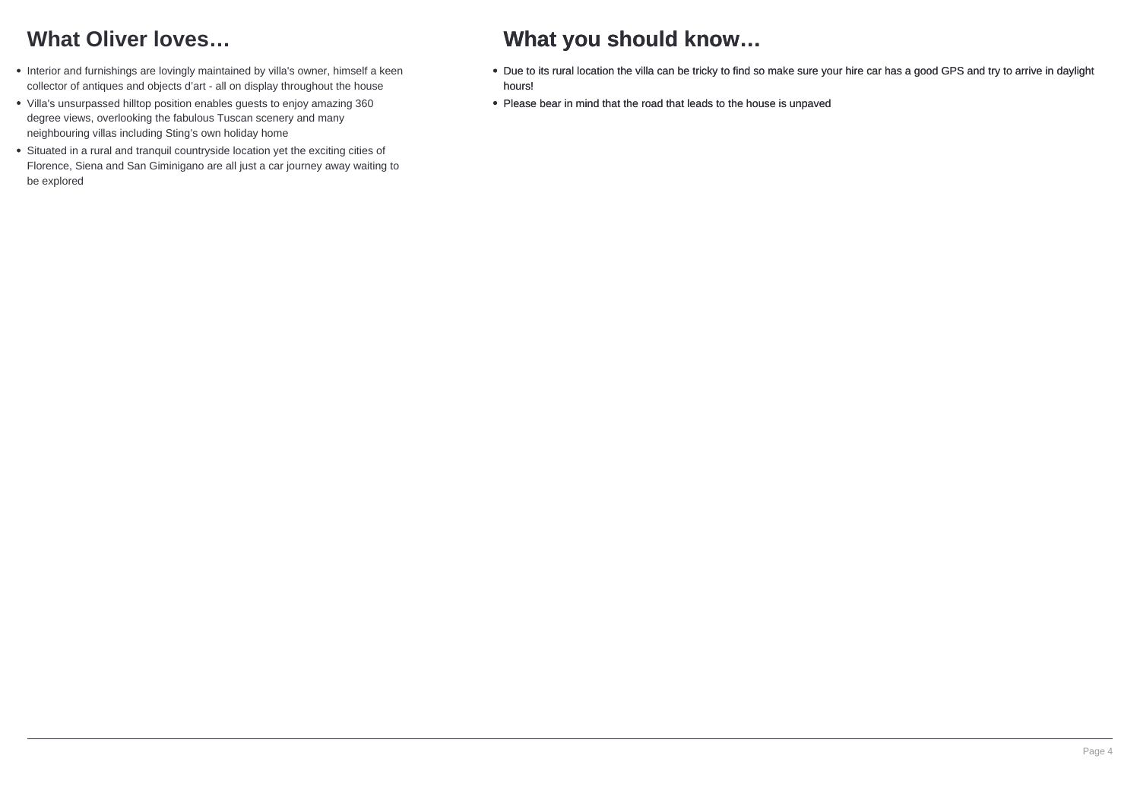## **What Oliver loves…**

- Interior and furnishings are lovingly maintained by villa's owner, himself a keen collector of antiques and objects d'art - all on display throughout the house
- Villa's unsurpassed hilltop position enables guests to enjoy amazing 360 degree views, overlooking the fabulous Tuscan scenery and many neighbouring villas including Sting's own holiday home
- Situated in a rural and tranquil countryside location yet the exciting cities of Florence, Siena and San Giminigano are all just a car journey away waiting to be explored

### **What you should know…**

- Due to its rural location the villa can be tricky to find so make sure your hire car has a good GPS and try to arrive in daylight hours!
- Please bear in mind that the road that leads to the house is unpaved